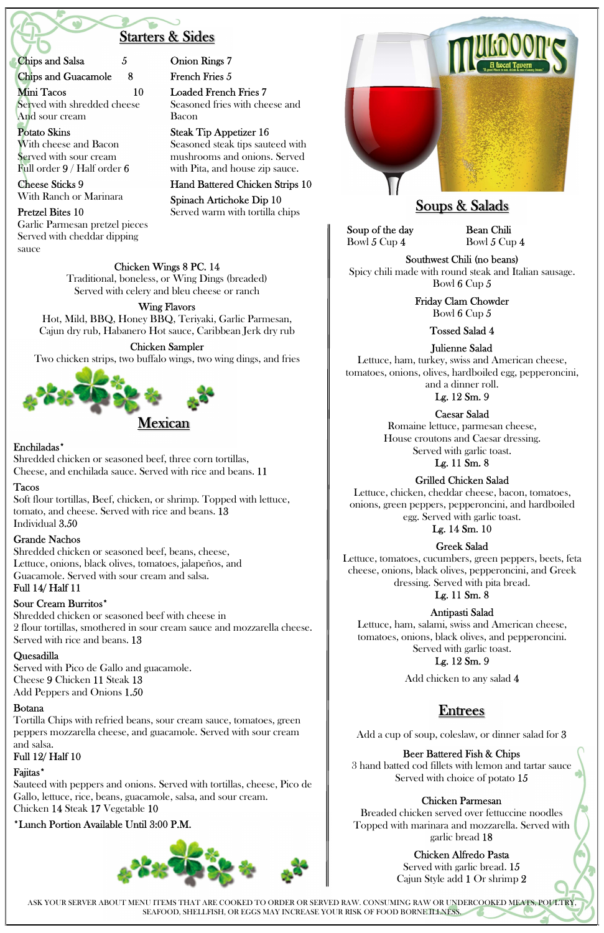ASK YOUR SERVER ABOUT MENU ITEMS THAT ARE COOKED TO ORDER OR SERVED RAW. CONSUMING RAW OR UNDERCOOKED MEATS, POULTRY, SEAFOOD, SHELLFISH, OR EGGS MAY INCREASE YOUR RISK OF FOOD BORNE ILLNESS.

# Starters & Sides

Chips and Salsa 5

Chips and Guacamole 8

Mini Tacos 10 Served with shredded cheese And sour cream

#### Potato Skins With cheese and Bacon Served with sour cream Full order 9 / Half order 6

Cheese Sticks 9 With Ranch or Marinara

#### Pretzel Bites 10

Garlic Parmesan pretzel pieces Served with cheddar dipping sauce

Onion Rings 7

French Fries 5

Loaded French Fries 7 Seasoned fries with cheese and Bacon

Steak Tip Appetizer 16 Seasoned steak tips sauteed with mushrooms and onions. Served with Pita, and house zip sauce.

Hand Battered Chicken Strips 10

Spinach Artichoke Dip 10 Served warm with tortilla chips



Chicken Wings 8 PC. 14

Traditional, boneless, or Wing Dings (breaded) Served with celery and bleu cheese or ranch

### Wing Flavors

Hot, Mild, BBQ, Honey BBQ, Teriyaki, Garlic Parmesan, Cajun dry rub, Habanero Hot sauce, Caribbean Jerk dry rub

# Chicken Sampler

Two chicken strips, two buffalo wings, two wing dings, and fries



### Enchiladas\*

Shredded chicken or seasoned beef, three corn tortillas, Cheese, and enchilada sauce. Served with rice and beans. 11

### Tacos

Soft flour tortillas, Beef, chicken, or shrimp. Topped with lettuce, tomato, and cheese. Served with rice and beans. 13 Individual 3.50

### Grande Nachos

Shredded chicken or seasoned beef, beans, cheese, Lettuce, onions, black olives, tomatoes, jalapeños, and Guacamole. Served with sour cream and salsa. Full 14/ Half 11

### Sour Cream Burritos\*

Shredded chicken or seasoned beef with cheese in 2 flour tortillas, smothered in sour cream sauce and mozzarella cheese. Served with rice and beans. 13

#### Quesadilla

Served with Pico de Gallo and guacamole. Cheese 9 Chicken 11 Steak 13

Add Peppers and Onions 1.50

#### Botana

Tortilla Chips with refried beans, sour cream sauce, tomatoes, green peppers mozzarella cheese, and guacamole. Served with sour cream and salsa.

# Full 12/ Half 10

# Faiitas\*

Sauteed with peppers and onions. Served with tortillas, cheese, Pico de Gallo, lettuce, rice, beans, guacamole, salsa, and sour cream. Chicken 14 Steak 17 Vegetable 10

# \*Lunch Portion Available Until 3:00 P.M.



# Soups & Salads

Soup of the day Bowl 5 Cup 4

Bean Chili Bowl 5 Cup 4

Southwest Chili (no beans) Spicy chili made with round steak and Italian sausage. Bowl 6 Cup 5

> Friday Clam Chowder Bowl 6 Cup 5

> > Tossed Salad 4

Julienne Salad

Lettuce, ham, turkey, swiss and American cheese, tomatoes, onions, olives, hardboiled egg, pepperoncini,

and a dinner roll. Lg. 12 Sm. 9

Caesar Salad

Romaine lettuce, parmesan cheese, House croutons and Caesar dressing. Served with garlic toast.

Lg. 11 Sm. 8

# Grilled Chicken Salad

Lettuce, chicken, cheddar cheese, bacon, tomatoes, onions, green peppers, pepperoncini, and hardboiled egg. Served with garlic toast.

Lg. 14 Sm. 10

# Greek Salad

Lettuce, tomatoes, cucumbers, green peppers, beets, feta cheese, onions, black olives, pepperoncini, and Greek dressing. Served with pita bread.

# Lg. 11 Sm. 8

Antipasti Salad

Lettuce, ham, salami, swiss and American cheese, tomatoes, onions, black olives, and pepperoncini. Served with garlic toast.

# Lg. 12 Sm. 9

Add chicken to any salad 4

# Entrees

Add a cup of soup, coleslaw, or dinner salad for 3

#### Beer Battered Fish & Chips

3 hand batted cod fillets with lemon and tartar sauce Served with choice of potato 15

#### Chicken Parmesan

Breaded chicken served over fettuccine noodles Topped with marinara and mozzarella. Served with garlic bread 18

#### Chicken Alfredo Pasta Served with garlic bread. 15 Cajun Style add 1 Or shrimp 2